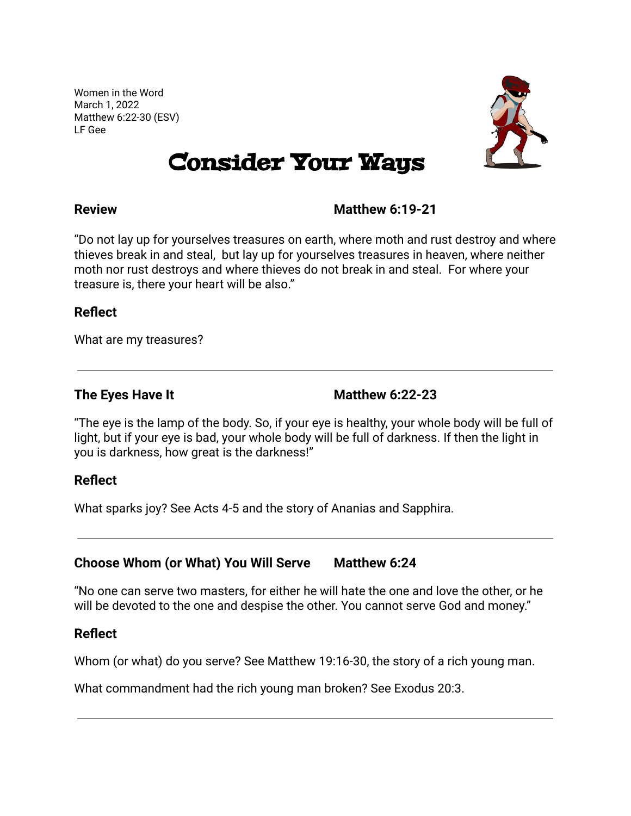Women in the Word March 1, 2022 Matthew 6:22-30 (ESV) LF Gee



# Consider Your Ways

### **Review Matthew 6:19-21**

"Do not lay up for yourselves treasures on earth, where moth and rust destroy and where thieves break in and steal, but lay up for yourselves treasures in heaven, where neither moth nor rust destroys and where thieves do not break in and steal. For where your treasure is, there your heart will be also."

#### **Reflect**

What are my treasures?

**The Eyes Have It Matthew 6:22-23**

"The eye is the lamp of the body. So, if your eye is healthy, your whole body will be full of light, but if your eye is bad, your whole body will be full of darkness. If then the light in you is darkness, how great is the darkness!"

### **Reflect**

What sparks joy? See Acts 4-5 and the story of Ananias and Sapphira.

### **Choose Whom (or What) You Will Serve Matthew 6:24**

"No one can serve two masters, for either he will hate the one and love the other, or he will be devoted to the one and despise the other. You cannot serve God and money."

### **Reflect**

Whom (or what) do you serve? See Matthew 19:16-30, the story of a rich young man.

What commandment had the rich young man broken? See Exodus 20:3.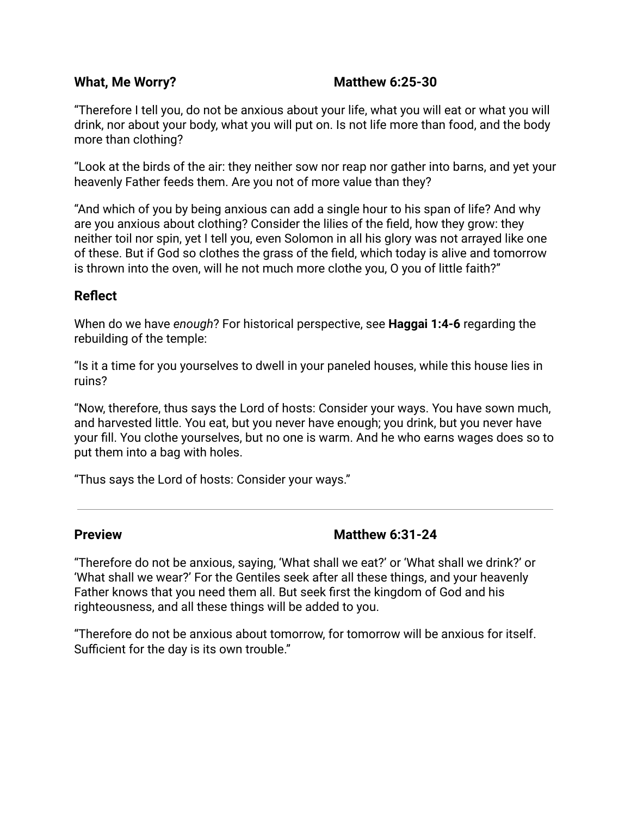#### **What, Me Worry? Matthew 6:25-30**

"Therefore I tell you, do not be anxious about your life, what you will eat or what you will drink, nor about your body, what you will put on. Is not life more than food, and the body more than clothing?

"Look at the birds of the air: they neither sow nor reap nor gather into barns, and yet your heavenly Father feeds them. Are you not of more value than they?

"And which of you by being anxious can add a single hour to his span of life? And why are you anxious about clothing? Consider the lilies of the field, how they grow: they neither toil nor spin, yet I tell you, even Solomon in all his glory was not arrayed like one of these. But if God so clothes the grass of the field, which today is alive and tomorrow is thrown into the oven, will he not much more clothe you, O you of little faith?"

#### **Reflect**

When do we have *enough*? For historical perspective, see **Haggai 1:4-6** regarding the rebuilding of the temple:

"Is it a time for you yourselves to dwell in your paneled houses, while this house lies in ruins?

"Now, therefore, thus says the Lord of hosts: Consider your ways. You have sown much, and harvested little. You eat, but you never have enough; you drink, but you never have your fill. You clothe yourselves, but no one is warm. And he who earns wages does so to put them into a bag with holes.

"Thus says the Lord of hosts: Consider your ways."

### **Preview Matthew 6:31-24**

"Therefore do not be anxious, saying, 'What shall we eat?' or 'What shall we drink?' or 'What shall we wear?' For the Gentiles seek after all these things, and your heavenly Father knows that you need them all. But seek first the kingdom of God and his righteousness, and all these things will be added to you.

"Therefore do not be anxious about tomorrow, for tomorrow will be anxious for itself. Sufficient for the day is its own trouble."